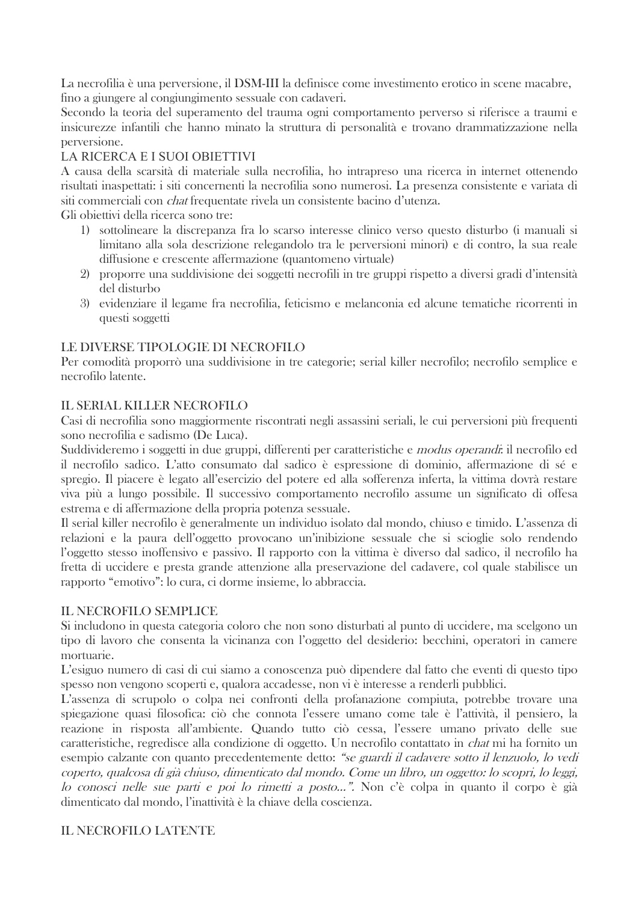La necrofilia è una perversione, il DSM-III la definisce come investimento erotico in scene macabre, fino a giungere al congiungimento sessuale con cadaveri.

Secondo la teoria del superamento del trauma ogni comportamento perverso si riferisce a traumi e insicurezze infantili che hanno minato la struttura di personalità e trovano drammatizzazione nella perversione.

# LA RICERCA E I SUOI OBIETTIVI

A causa della scarsità di materiale sulla necrofilia, ho intrapreso una ricerca in internet ottenendo risultati inaspettati: i siti concernenti la necrofilia sono numerosi. La presenza consistente e variata di siti commerciali con *chat* frequentate rivela un consistente bacino d'utenza.

Gli obiettivi della ricerca sono tre:

- 1) sottolineare la discrepanza fra lo scarso interesse clinico verso questo disturbo (i manuali si limitano alla sola descrizione relegandolo tra le perversioni minori) e di contro, la sua reale diffusione e crescente affermazione (quantomeno virtuale)
- 2) proporre una suddivisione dei soggetti necrofili in tre gruppi rispetto a diversi gradi d'intensità del disturbo
- 3) evidenziare il legame fra necrofilia, feticismo e melanconia ed alcune tematiche ricorrenti in questi soggetti

### LE DIVERSE TIPOLOGIE DI NECROFILO

Per comodità proporrò una suddivisione in tre categorie; serial killer necrofilo; necrofilo semplice e necrofilo latente.

## **IL SERIAL KILLER NECROFILO**

Casi di necrofilia sono maggiormente riscontrati negli assassini seriali, le cui perversioni più frequenti sono necrofilia e sadismo (De Luca).

Suddivideremo i soggetti in due gruppi, differenti per caratteristiche e *modus operandi*: il necrofilo ed il necrofilo sadico. L'atto consumato dal sadico è espressione di dominio, affermazione di sé e spregio. Il piacere è legato all'esercizio del potere ed alla sofferenza inferta, la vittima dovrà restare viva più a lungo possibile. Il successivo comportamento necrofilo assume un significato di offesa estrema e di affermazione della propria potenza sessuale.

Il serial killer necrofilo è generalmente un individuo isolato dal mondo, chiuso e timido. L'assenza di relazioni e la paura dell'oggetto provocano un'inibizione sessuale che si scioglie solo rendendo l'oggetto stesso inoffensivo e passivo. Il rapporto con la vittima è diverso dal sadico, il necrofilo ha fretta di uccidere e presta grande attenzione alla preservazione del cadavere, col quale stabilisce un rapporto "emotivo": lo cura, ci dorme insieme, lo abbraccia.

### **IL NECROFILO SEMPLICE**

Si includono in questa categoria coloro che non sono disturbati al punto di uccidere, ma scelgono un tipo di lavoro che consenta la vicinanza con l'oggetto del desiderio: becchini, operatori in camere mortuarie.

L'esiguo numero di casi di cui siamo a conoscenza può dipendere dal fatto che eventi di questo tipo spesso non vengono scoperti e, qualora accadesse, non vi è interesse a renderli pubblici.

L'assenza di scrupolo o colpa nei confronti della profanazione compiuta, potrebbe trovare una spiegazione quasi filosofica: ciò che connota l'essere umano come tale è l'attività, il pensiero, la reazione in risposta all'ambiente. Quando tutto ciò cessa, l'essere umano privato delle sue caratteristiche, regredisce alla condizione di oggetto. Un necrofilo contattato in *chat* mi ha fornito un esempio calzante con quanto precedentemente detto: "se guardi il cadavere sotto il lenzuolo, lo vedi coperto, qualcosa di già chiuso, dimenticato dal mondo. Come un libro, un oggetto: lo scopri, lo leggi, lo conosci nelle sue parti e poi lo rimetti a posto...". Non c'è colpa in quanto il corpo è già dimenticato dal mondo, l'inattività è la chiave della coscienza.

### **IL NECROFILO LATENTE**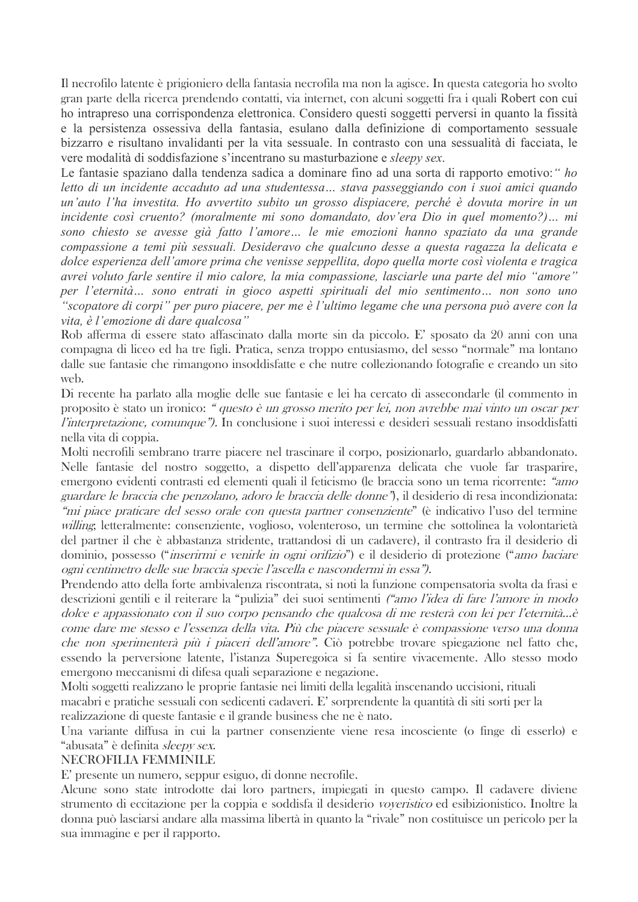Il necrofilo latente è prigioniero della fantasia necrofila ma non la agisce. In questa categoria ho svolto gran parte della ricerca prendendo contatti, via internet, con alcuni soggetti fra i quali Robert con cui ho intrapreso una corrispondenza elettronica. Considero questi soggetti perversi in quanto la fissità e la persistenza ossessiva della fantasia, esulano dalla definizione di comportamento sessuale bizzarro e risultano invalidanti per la vita sessuale. In contrasto con una sessualità di facciata, le vere modalità di soddisfazione s'incentrano su masturbazione e sleepy sex.

Le fantasie spaziano dalla tendenza sadica a dominare fino ad una sorta di rapporto emotivo: "ho letto di un incidente accaduto ad una studentessa... stava passeggiando con i suoi amici quando un'auto l'ha investita. Ho avvertito subito un grosso dispiacere, perché è dovuta morire in un incidente così cruento? (moralmente mi sono domandato, dov'era Dio in quel momento?)... mi sono chiesto se avesse già fatto l'amore... le mie emozioni hanno spaziato da una grande compassione a temi più sessuali. Desideravo che qualcuno desse a questa ragazza la delicata e dolce esperienza dell'amore prima che venisse seppellita, dopo quella morte così violenta e tragica avrei voluto farle sentire il mio calore, la mia compassione, lasciarle una parte del mio "amore" per l'eternità... sono entrati in gioco aspetti spirituali del mio sentimento... non sono uno "scopatore di corpi" per puro piacere, per me è l'ultimo legame che una persona può avere con la vita, è l'emozione di dare qualcosa"

Rob afferma di essere stato affascinato dalla morte sin da piccolo. E' sposato da 20 anni con una compagna di liceo ed ha tre figli. Pratica, senza troppo entusiasmo, del sesso "normale" ma lontano dalle sue fantasie che rimangono insoddisfatte e che nutre collezionando fotografie e creando un sito web.

Di recente ha parlato alla moglie delle sue fantasie e lei ha cercato di assecondarle (il commento in proposito è stato un ironico: "questo è un grosso merito per lei, non avrebbe mai vinto un oscar per l'interpretazione, comunque"). In conclusione i suoi interessi e desideri sessuali restano insoddisfatti nella vita di coppia.

Molti necrofili sembrano trarre piacere nel trascinare il corpo, posizionarlo, guardarlo abbandonato. Nelle fantasie del nostro soggetto, a dispetto dell'apparenza delicata che vuole far trasparire, emergono evidenti contrasti ed elementi quali il feticismo (le braccia sono un tema ricorrente: "amo guardare le braccia che penzolano, adoro le braccia delle donne"), il desiderio di resa incondizionata: "mi piace praticare del sesso orale con questa partner consenziente" (è indicativo l'uso del termine *willing*; letteralmente: consenziente, voglioso, volenteroso, un termine che sottolinea la volontarietà del partner il che è abbastanza stridente, trattandosi di un cadavere), il contrasto fra il desiderio di dominio, possesso *("inserirmi e venirle in ogni orifizio")* e il desiderio di protezione *("amo baciare* ogni centimetro delle sue braccia specie l'ascella e nascondermi in essa").

Prendendo atto della forte ambivalenza riscontrata, si noti la funzione compensatoria svolta da frasi e descrizioni gentili e il reiterare la "pulizia" dei suoi sentimenti *("amo l'idea di fare l'amore in modo* dolce e appassionato con il suo corpo pensando che qualcosa di me resterà con lei per l'eternità...è come dare me stesso e l'essenza della vita. Più che piacere sessuale è compassione verso una donna che non sperimenterà più i piaceri dell'amore". Ciò potrebbe trovare spiegazione nel fatto che, essendo la perversione latente, l'istanza Superegoica si fa sentire vivacemente. Allo stesso modo emergono meccanismi di difesa quali separazione e negazione.

Molti soggetti realizzano le proprie fantasie nei limiti della legalità inscenando uccisioni, rituali macabri e pratiche sessuali con sedicenti cadaveri. E' sorprendente la quantità di siti sorti per la realizzazione di queste fantasie e il grande business che ne è nato.

Una variante diffusa in cui la partner consenziente viene resa incosciente (o finge di esserlo) e "abusata" è definita sleepy sex.

#### **NECROFILIA FEMMINILE**

E' presente un numero, seppur esiguo, di donne necrofile.

Alcune sono state introdotte dai loro partners, impiegati in questo campo. Il cadavere diviene strumento di eccitazione per la coppia e soddisfa il desiderio voyeristico ed esibizionistico. Inoltre la donna può lasciarsi andare alla massima libertà in quanto la "rivale" non costituisce un pericolo per la sua immagine e per il rapporto.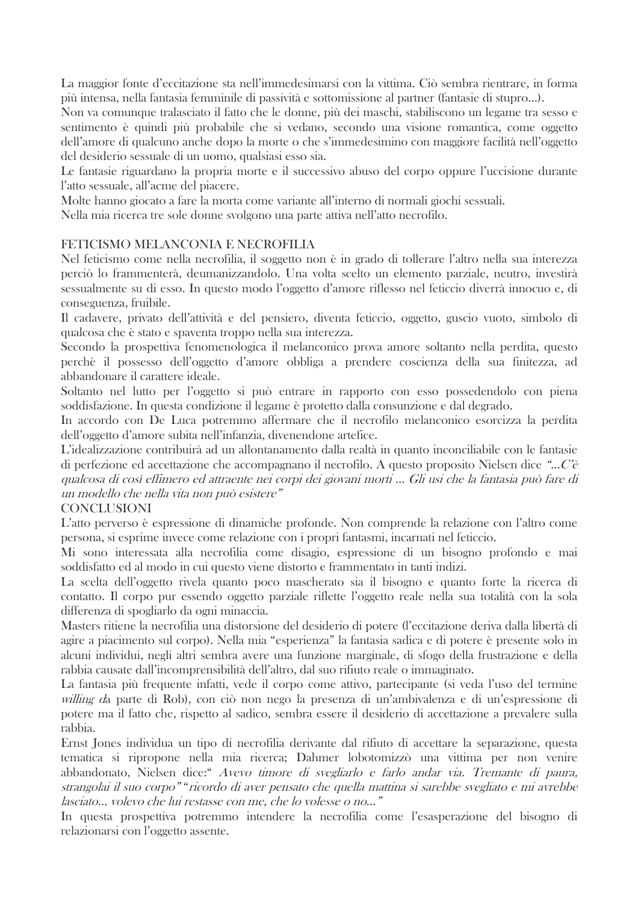La maggior fonte d'eccitazione sta nell'immedesimarsi con la vittima. Ciò sembra rientrare, in forma più intensa, nella fantasia femminile di passività e sottomissione al partner (fantasie di stupro...).

Non va comunque tralasciato il fatto che le donne, più dei maschi, stabiliscono un legame tra sesso e sentimento è quindi più probabile che si vedano, secondo una visione romantica, come oggetto dell'amore di qualcuno anche dopo la morte o che s'immedesimino con maggiore facilità nell'oggetto del desiderio sessuale di un uomo, qualsiasi esso sia.

Le fantasie riguardano la propria morte e il successivo abuso del corpo oppure l'uccisione durante l'atto sessuale, all'acme del piacere.

Molte hanno giocato a fare la morta come variante all'interno di normali giochi sessuali.

Nella mia ricerca tre sole donne svolgono una parte attiva nell'atto necrofilo.

#### FETICISMO MELANCONIA E NECROFILIA

Nel feticismo come nella necrofilia, il soggetto non è in grado di tollerare l'altro nella sua interezza perciò lo frammenterà, deumanizzandolo. Una volta scelto un elemento parziale, neutro, investirà sessualmente su di esso. In questo modo l'oggetto d'amore riflesso nel feticcio diverrà innocuo e, di conseguenza, fruibile.

Il cadavere, privato dell'attività e del pensiero, diventa feticcio, oggetto, guscio vuoto, simbolo di qualcosa che è stato e spaventa troppo nella sua interezza.

Secondo la prospettiva fenomenologica il melanconico prova amore soltanto nella perdita, questo perchè il possesso dell'oggetto d'amore obbliga a prendere coscienza della sua finitezza, ad abbandonare il carattere ideale.

Soltanto nel lutto per l'oggetto si può entrare in rapporto con esso possedendolo con piena soddisfazione. In questa condizione il legame è protetto dalla consunzione e dal degrado.

In accordo con De Luca potremmo affermare che il necrofilo melanconico esorcizza la perdita dell'oggetto d'amore subita nell'infanzia, divenendone artefice.

L'idealizzazione contribuirà ad un allontanamento dalla realtà in quanto inconciliabile con le fantasie di perfezione ed accettazione che accompagnano il necrofilo. A questo proposito Nielsen dice "...C'è qualcosa di così effimero ed attraente nei corpi dei giovani morti ... Gli usi che la fantasia può fare di un modello che nella vita non può esistere"

#### **CONCLUSIONI**

L'atto perverso è espressione di dinamiche profonde. Non comprende la relazione con l'altro come persona, si esprime invece come relazione con i propri fantasmi, incarnati nel feticcio.

Mi sono interessata alla necrofilia come disagio, espressione di un bisogno profondo e mai soddisfatto ed al modo in cui questo viene distorto e frammentato in tanti indizi.

La scelta dell'oggetto rivela quanto poco mascherato sia il bisogno e quanto forte la ricerca di contatto. Il corpo pur essendo oggetto parziale riflette l'oggetto reale nella sua totalità con la sola differenza di spogliarlo da ogni minaccia.

Masters ritiene la necrofilia una distorsione del desiderio di potere (l'eccitazione deriva dalla libertà di agire a piacimento sul corpo). Nella mia "esperienza" la fantasia sadica e di potere è presente solo in alcuni individui, negli altri sembra avere una funzione marginale, di sfogo della frustrazione e della rabbia causate dall'incomprensibilità dell'altro, dal suo rifiuto reale o immaginato.

La fantasia più frequente infatti, vede il corpo come attivo, partecipante (si veda l'uso del termine *willing d*a parte di Rob), con ciò non nego la presenza di un'ambivalenza e di un'espressione di potere ma il fatto che, rispetto al sadico, sembra essere il desiderio di accettazione a prevalere sulla rabbia.

Ernst Jones individua un tipo di necrofilia derivante dal rifiuto di accettare la separazione, questa tematica si ripropone nella mia ricerca; Dahmer lobotomizzò una vittima per non venire abbandonato, Nielsen dice: "Avevo timore di svegliarlo e farlo andar via. Tremante di paura, strangolai il suo corpo" "ricordo di aver pensato che quella mattina si sarebbe svegliato e mi avrebbe lasciato... volevo che lui restasse con me, che lo volesse o no..."

In questa prospettiva potremmo intendere la necrofilia come l'esasperazione del bisogno di relazionarsi con l'oggetto assente.